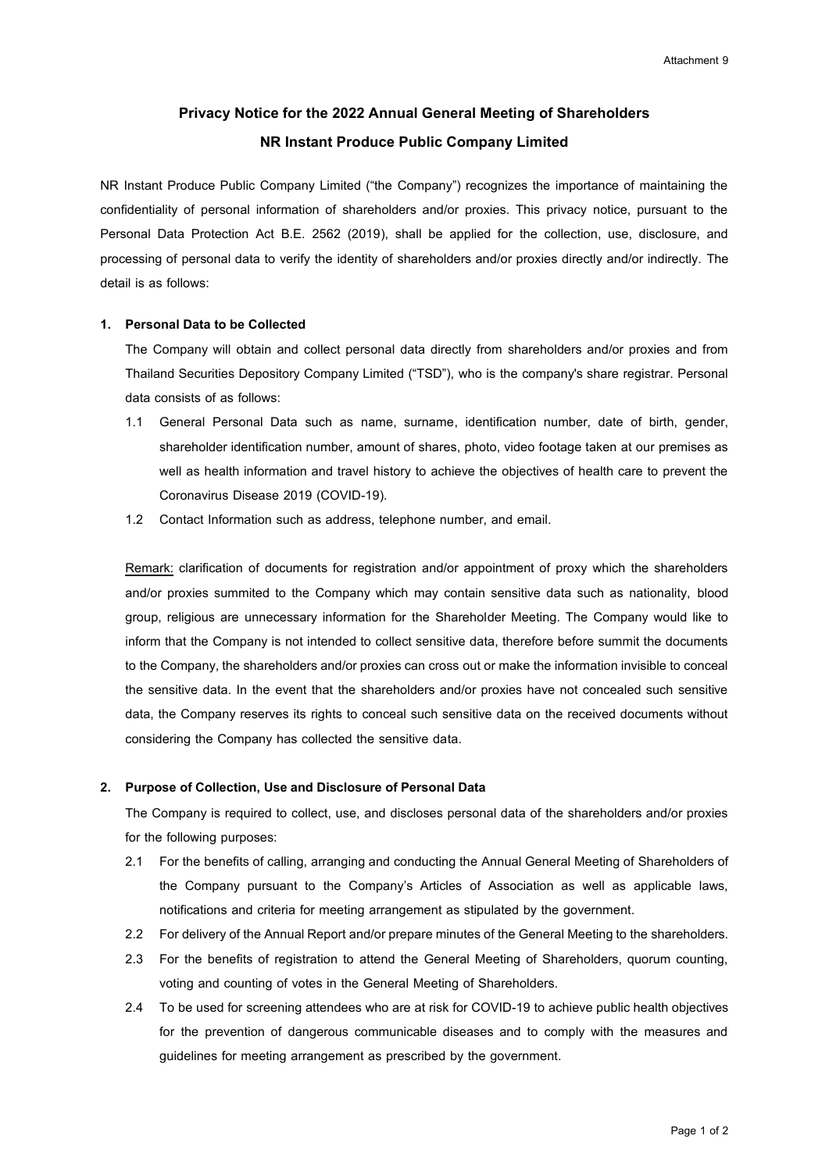# **Privacy Notice for the 2022 Annual General Meeting of Shareholders NR Instant Produce Public Company Limited**

NR Instant Produce Public Company Limited ("the Company") recognizes the importance of maintaining the confidentiality of personal information of shareholders and/or proxies. This privacy notice, pursuant to the Personal Data Protection Act B.E. 2562 (2019), shall be applied for the collection, use, disclosure, and processing of personal data to verify the identity of shareholders and/or proxies directly and/or indirectly. The detail is as follows:

### **1. Personal Data to be Collected**

The Company will obtain and collect personal data directly from shareholders and/or proxies and from Thailand Securities Depository Company Limited ("TSD"), who is the company's share registrar. Personal data consists of as follows:

- 1.1 General Personal Data such as name, surname, identification number, date of birth, gender, shareholder identification number, amount of shares, photo, video footage taken at our premises as well as health information and travel history to achieve the objectives of health care to prevent the Coronavirus Disease 2019 (COVID-19).
- 1.2 Contact Information such as address, telephone number, and email.

Remark: clarification of documents for registration and/or appointment of proxy which the shareholders and/or proxies summited to the Company which may contain sensitive data such as nationality, blood group, religious are unnecessary information for the Shareholder Meeting. The Company would like to inform that the Company is not intended to collect sensitive data, therefore before summit the documents to the Company, the shareholders and/or proxies can cross out or make the information invisible to conceal the sensitive data. In the event that the shareholders and/or proxies have not concealed such sensitive data, the Company reserves its rights to conceal such sensitive data on the received documents without considering the Company has collected the sensitive data.

#### **2. Purpose of Collection, Use and Disclosure of Personal Data**

The Company is required to collect, use, and discloses personal data of the shareholders and/or proxies for the following purposes:

- 2.1 For the benefits of calling, arranging and conducting the Annual General Meeting of Shareholders of the Company pursuant to the Company's Articles of Association as well as applicable laws, notifications and criteria for meeting arrangement as stipulated by the government.
- 2.2 For delivery of the Annual Report and/or prepare minutes of the General Meeting to the shareholders.
- 2.3 For the benefits of registration to attend the General Meeting of Shareholders, quorum counting, voting and counting of votes in the General Meeting of Shareholders.
- 2.4 To be used for screening attendees who are at risk for COVID-19 to achieve public health objectives for the prevention of dangerous communicable diseases and to comply with the measures and guidelines for meeting arrangement as prescribed by the government.